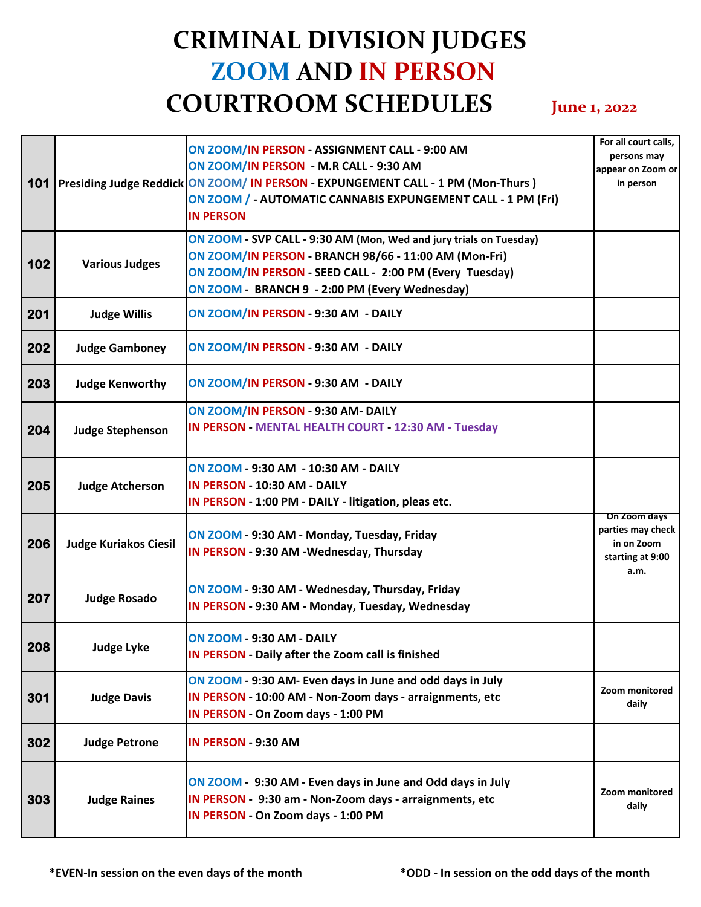## **CRIMINAL DIVISION JUDGES ZOOM AND IN PERSON COURTROOM SCHEDULES June 1, 2022**

| 101 |                              | ON ZOOM/IN PERSON - ASSIGNMENT CALL - 9:00 AM<br>ON ZOOM/IN PERSON - M.R CALL - 9:30 AM<br>Presiding Judge Reddick ON ZOOM/ IN PERSON - EXPUNGEMENT CALL - 1 PM (Mon-Thurs)<br>ON ZOOM / - AUTOMATIC CANNABIS EXPUNGEMENT CALL - 1 PM (Fri)<br><b>IN PERSON</b> | For all court calls,<br>persons may<br>appear on Zoom or<br>in person       |
|-----|------------------------------|-----------------------------------------------------------------------------------------------------------------------------------------------------------------------------------------------------------------------------------------------------------------|-----------------------------------------------------------------------------|
| 102 | <b>Various Judges</b>        | ON ZOOM - SVP CALL - 9:30 AM (Mon, Wed and jury trials on Tuesday)<br>ON ZOOM/IN PERSON - BRANCH 98/66 - 11:00 AM (Mon-Fri)<br>ON ZOOM/IN PERSON - SEED CALL - 2:00 PM (Every Tuesday)<br>ON ZOOM - BRANCH 9 - 2:00 PM (Every Wednesday)                        |                                                                             |
| 201 | <b>Judge Willis</b>          | ON ZOOM/IN PERSON - 9:30 AM - DAILY                                                                                                                                                                                                                             |                                                                             |
| 202 | <b>Judge Gamboney</b>        | ON ZOOM/IN PERSON - 9:30 AM - DAILY                                                                                                                                                                                                                             |                                                                             |
| 203 | <b>Judge Kenworthy</b>       | ON ZOOM/IN PERSON - 9:30 AM - DAILY                                                                                                                                                                                                                             |                                                                             |
| 204 | <b>Judge Stephenson</b>      | ON ZOOM/IN PERSON - 9:30 AM- DAILY<br><b>IN PERSON - MENTAL HEALTH COURT - 12:30 AM - Tuesday</b>                                                                                                                                                               |                                                                             |
| 205 | <b>Judge Atcherson</b>       | ON ZOOM - 9:30 AM - 10:30 AM - DAILY<br>IN PERSON - 10:30 AM - DAILY<br>IN PERSON - 1:00 PM - DAILY - litigation, pleas etc.                                                                                                                                    |                                                                             |
| 206 | <b>Judge Kuriakos Ciesil</b> | ON ZOOM - 9:30 AM - Monday, Tuesday, Friday<br>IN PERSON - 9:30 AM - Wednesday, Thursday                                                                                                                                                                        | On Zoom days<br>parties may check<br>in on Zoom<br>starting at 9:00<br>a.m. |
| 207 | <b>Judge Rosado</b>          | ON ZOOM - 9:30 AM - Wednesday, Thursday, Friday<br>IN PERSON - 9:30 AM - Monday, Tuesday, Wednesday                                                                                                                                                             |                                                                             |
| 208 | Judge Lyke                   | <b>ON ZOOM - 9:30 AM - DAILY</b><br>IN PERSON - Daily after the Zoom call is finished                                                                                                                                                                           |                                                                             |
| 301 | <b>Judge Davis</b>           | ON ZOOM - 9:30 AM- Even days in June and odd days in July<br>IN PERSON - 10:00 AM - Non-Zoom days - arraignments, etc<br>IN PERSON - On Zoom days - 1:00 PM                                                                                                     | Zoom monitored<br>daily                                                     |
| 302 | <b>Judge Petrone</b>         | IN PERSON - 9:30 AM                                                                                                                                                                                                                                             |                                                                             |
| 303 | <b>Judge Raines</b>          | ON ZOOM - 9:30 AM - Even days in June and Odd days in July<br>IN PERSON - 9:30 am - Non-Zoom days - arraignments, etc<br>IN PERSON - On Zoom days - 1:00 PM                                                                                                     | Zoom monitored<br>daily                                                     |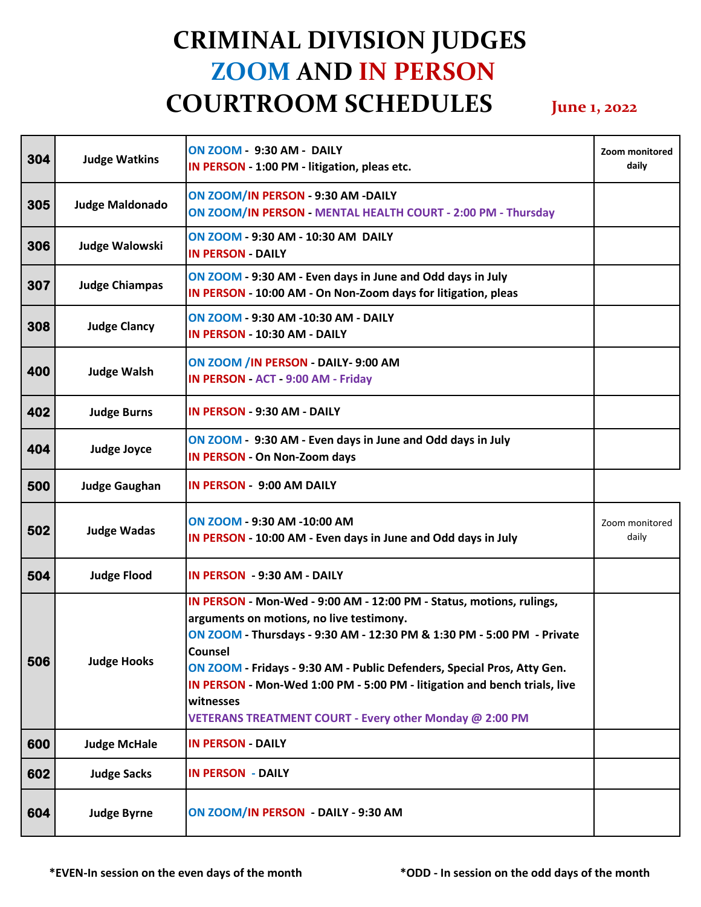## **CRIMINAL DIVISION JUDGES ZOOM AND IN PERSON COURTROOM SCHEDULES June 1, 2022**

| 304 | <b>Judge Watkins</b>   | <b>ON ZOOM - 9:30 AM - DAILY</b><br>IN PERSON - 1:00 PM - litigation, pleas etc.                                                                                                                                                                                                                                                                                                                                                      | Zoom monitored<br>daily |
|-----|------------------------|---------------------------------------------------------------------------------------------------------------------------------------------------------------------------------------------------------------------------------------------------------------------------------------------------------------------------------------------------------------------------------------------------------------------------------------|-------------------------|
| 305 | <b>Judge Maldonado</b> | ON ZOOM/IN PERSON - 9:30 AM -DAILY<br>ON ZOOM/IN PERSON - MENTAL HEALTH COURT - 2:00 PM - Thursday                                                                                                                                                                                                                                                                                                                                    |                         |
| 306 | Judge Walowski         | ON ZOOM - 9:30 AM - 10:30 AM DAILY<br><b>IN PERSON - DAILY</b>                                                                                                                                                                                                                                                                                                                                                                        |                         |
| 307 | <b>Judge Chiampas</b>  | ON ZOOM - 9:30 AM - Even days in June and Odd days in July<br>IN PERSON - 10:00 AM - On Non-Zoom days for litigation, pleas                                                                                                                                                                                                                                                                                                           |                         |
| 308 | <b>Judge Clancy</b>    | ON ZOOM - 9:30 AM -10:30 AM - DAILY<br>IN PERSON - 10:30 AM - DAILY                                                                                                                                                                                                                                                                                                                                                                   |                         |
| 400 | <b>Judge Walsh</b>     | ON ZOOM / IN PERSON - DAILY- 9:00 AM<br>IN PERSON - ACT - 9:00 AM - Friday                                                                                                                                                                                                                                                                                                                                                            |                         |
| 402 | <b>Judge Burns</b>     | IN PERSON - 9:30 AM - DAILY                                                                                                                                                                                                                                                                                                                                                                                                           |                         |
| 404 | <b>Judge Joyce</b>     | ON ZOOM - 9:30 AM - Even days in June and Odd days in July<br><b>IN PERSON - On Non-Zoom days</b>                                                                                                                                                                                                                                                                                                                                     |                         |
| 500 | <b>Judge Gaughan</b>   | <b>IN PERSON - 9:00 AM DAILY</b>                                                                                                                                                                                                                                                                                                                                                                                                      |                         |
| 502 | <b>Judge Wadas</b>     | ON ZOOM - 9:30 AM -10:00 AM<br>IN PERSON - 10:00 AM - Even days in June and Odd days in July                                                                                                                                                                                                                                                                                                                                          | Zoom monitored<br>daily |
| 504 | <b>Judge Flood</b>     | IN PERSON - 9:30 AM - DAILY                                                                                                                                                                                                                                                                                                                                                                                                           |                         |
| 506 | <b>Judge Hooks</b>     | IN PERSON - Mon-Wed - 9:00 AM - 12:00 PM - Status, motions, rulings,<br>arguments on motions, no live testimony.<br>ON ZOOM - Thursdays - 9:30 AM - 12:30 PM & 1:30 PM - 5:00 PM - Private<br>Counsel<br>ON ZOOM - Fridays - 9:30 AM - Public Defenders, Special Pros, Atty Gen.<br>IN PERSON - Mon-Wed 1:00 PM - 5:00 PM - litigation and bench trials, live<br>witnesses<br>VETERANS TREATMENT COURT - Every other Monday @ 2:00 PM |                         |
| 600 | <b>Judge McHale</b>    | <b>IN PERSON - DAILY</b>                                                                                                                                                                                                                                                                                                                                                                                                              |                         |
| 602 | <b>Judge Sacks</b>     | <b>IN PERSON - DAILY</b>                                                                                                                                                                                                                                                                                                                                                                                                              |                         |
| 604 | <b>Judge Byrne</b>     | ON ZOOM/IN PERSON - DAILY - 9:30 AM                                                                                                                                                                                                                                                                                                                                                                                                   |                         |